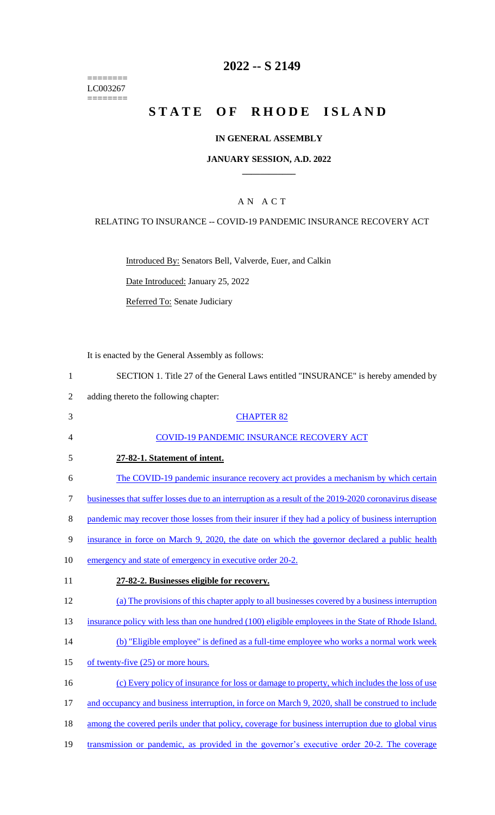======== LC003267  $=$ 

# **2022 -- S 2149**

# **STATE OF RHODE ISLAND**

#### **IN GENERAL ASSEMBLY**

#### **JANUARY SESSION, A.D. 2022 \_\_\_\_\_\_\_\_\_\_\_\_**

## A N A C T

## RELATING TO INSURANCE -- COVID-19 PANDEMIC INSURANCE RECOVERY ACT

Introduced By: Senators Bell, Valverde, Euer, and Calkin

Date Introduced: January 25, 2022

Referred To: Senate Judiciary

It is enacted by the General Assembly as follows:

1 SECTION 1. Title 27 of the General Laws entitled "INSURANCE" is hereby amended by

2 adding thereto the following chapter:

| 3  | <b>CHAPTER 82</b>                                                                                     |
|----|-------------------------------------------------------------------------------------------------------|
| 4  | <b>COVID-19 PANDEMIC INSURANCE RECOVERY ACT</b>                                                       |
| 5  | 27-82-1. Statement of intent.                                                                         |
| 6  | The COVID-19 pandemic insurance recovery act provides a mechanism by which certain                    |
| 7  | businesses that suffer losses due to an interruption as a result of the 2019-2020 coronavirus disease |
| 8  | pandemic may recover those losses from their insurer if they had a policy of business interruption    |
| 9  | insurance in force on March 9, 2020, the date on which the governor declared a public health          |
| 10 | emergency and state of emergency in executive order 20-2.                                             |
| 11 | 27-82-2. Businesses eligible for recovery.                                                            |
| 12 | (a) The provisions of this chapter apply to all businesses covered by a business interruption         |
| 13 | insurance policy with less than one hundred (100) eligible employees in the State of Rhode Island.    |
| 14 | (b) "Eligible employee" is defined as a full-time employee who works a normal work week               |
| 15 | of twenty-five (25) or more hours.                                                                    |
| 16 | (c) Every policy of insurance for loss or damage to property, which includes the loss of use          |
| 17 | and occupancy and business interruption, in force on March 9, 2020, shall be construed to include     |
| 18 | among the covered perils under that policy, coverage for business interruption due to global virus    |
|    |                                                                                                       |

19 transmission or pandemic, as provided in the governor's executive order 20-2. The coverage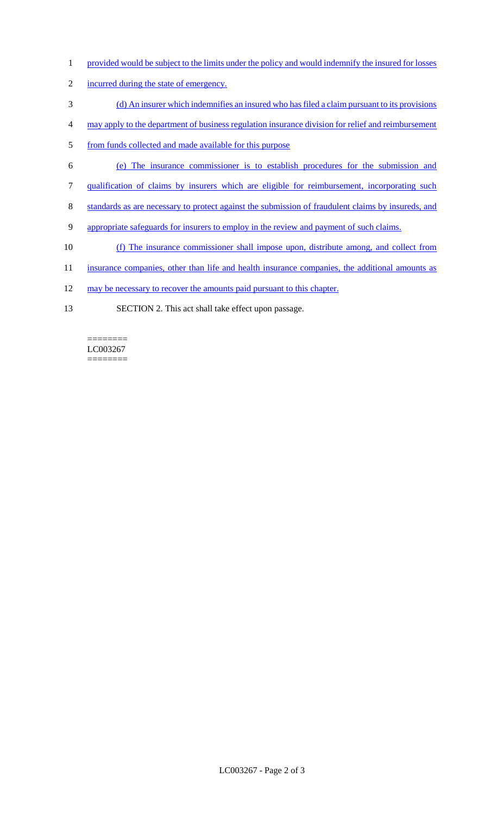- 1 provided would be subject to the limits under the policy and would indemnify the insured for losses
- 2 incurred during the state of emergency.
- 3 (d) An insurer which indemnifies an insured who has filed a claim pursuant to its provisions
- 4 may apply to the department of business regulation insurance division for relief and reimbursement
- 5 from funds collected and made available for this purpose
- 6 (e) The insurance commissioner is to establish procedures for the submission and
- 7 qualification of claims by insurers which are eligible for reimbursement, incorporating such
- 8 standards as are necessary to protect against the submission of fraudulent claims by insureds, and
- 9 appropriate safeguards for insurers to employ in the review and payment of such claims.
- 10 (f) The insurance commissioner shall impose upon, distribute among, and collect from
- 11 insurance companies, other than life and health insurance companies, the additional amounts as
- 12 may be necessary to recover the amounts paid pursuant to this chapter.
- 13 SECTION 2. This act shall take effect upon passage.

LC003267 ========

 $=$